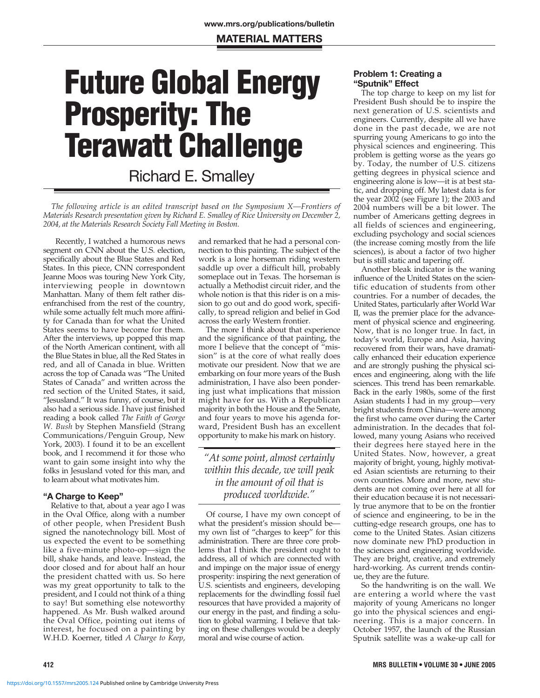# **Future Global Energy Prosperity: The Terawatt Challenge**

Richard E. Smalley

*The following article is an edited transcript based on the Symposium X—Frontiers of Materials Research presentation given by Richard E. Smalley of Rice University on December 2, 2004, at the Materials Research Society Fall Meeting in Boston.*

Recently, I watched a humorous news segment on CNN about the U.S. election, specifically about the Blue States and Red States. In this piece, CNN correspondent Jeanne Moos was touring New York City, interviewing people in downtown Manhattan. Many of them felt rather disenfranchised from the rest of the country, while some actually felt much more affinity for Canada than for what the United States seems to have become for them. After the interviews, up popped this map of the North American continent, with all the Blue States in blue, all the Red States in red, and all of Canada in blue. Written across the top of Canada was "The United States of Canada" and written across the red section of the United States, it said, "Jesusland." It was funny, of course, but it also had a serious side. I have just finished reading a book called *The Faith of George W. Bush* by Stephen Mansfield (Strang Communications/Penguin Group, New York, 2003). I found it to be an excellent book, and I recommend it for those who want to gain some insight into why the folks in Jesusland voted for this man, and to learn about what motivates him.

# **"A Charge to Keep"**

Relative to that, about a year ago I was in the Oval Office, along with a number of other people, when President Bush signed the nanotechnology bill. Most of us expected the event to be something like a five-minute photo-op—sign the bill, shake hands, and leave. Instead, the door closed and for about half an hour the president chatted with us. So here was my great opportunity to talk to the president, and I could not think of a thing to say! But something else noteworthy happened. As Mr. Bush walked around the Oval Office, pointing out items of interest, he focused on a painting by W.H.D. Koerner, titled *A Charge to Keep*,

and remarked that he had a personal connection to this painting. The subject of the work is a lone horseman riding western saddle up over a difficult hill, probably someplace out in Texas. The horseman is actually a Methodist circuit rider, and the whole notion is that this rider is on a mission to go out and do good work, specifically, to spread religion and belief in God across the early Western frontier.

The more I think about that experience and the significance of that painting, the more I believe that the concept of "mission" is at the core of what really does motivate our president. Now that we are embarking on four more years of the Bush administration, I have also been pondering just what implications that mission might have for us. With a Republican majority in both the House and the Senate, and four years to move his agenda forward, President Bush has an excellent opportunity to make his mark on history.

*"At some point, almost certainly within this decade, we will peak in the amount of oil that is produced worldwide."*

Of course, I have my own concept of what the president's mission should be my own list of "charges to keep" for this administration. There are three core problems that I think the president ought to address, all of which are connected with and impinge on the major issue of energy prosperity: inspiring the next generation of U.S. scientists and engineers, developing replacements for the dwindling fossil fuel resources that have provided a majority of our energy in the past, and finding a solution to global warming. I believe that taking on these challenges would be a deeply moral and wise course of action.

# **Problem 1: Creating a "Sputnik" Effect**

The top charge to keep on my list for President Bush should be to inspire the next generation of U.S. scientists and engineers. Currently, despite all we have done in the past decade, we are not spurring young Americans to go into the physical sciences and engineering. This problem is getting worse as the years go by. Today, the number of U.S. citizens getting degrees in physical science and engineering alone is low—it is at best static, and dropping off. My latest data is for the year 2002 (see Figure 1); the 2003 and 2004 numbers will be a bit lower. The number of Americans getting degrees in all fields of sciences and engineering, excluding psychology and social sciences (the increase coming mostly from the life sciences), is about a factor of two higher but is still static and tapering off.

Another bleak indicator is the waning influence of the United States on the scientific education of students from other countries. For a number of decades, the United States, particularly after World War II, was the premier place for the advancement of physical science and engineering. Now, that is no longer true. In fact, in today's world, Europe and Asia, having recovered from their wars, have dramatically enhanced their education experience and are strongly pushing the physical sciences and engineering, along with the life sciences. This trend has been remarkable. Back in the early 1980s, some of the first Asian students I had in my group—very bright students from China—were among the first who came over during the Carter administration. In the decades that followed, many young Asians who received their degrees here stayed here in the United States. Now, however, a great majority of bright, young, highly motivated Asian scientists are returning to their own countries. More and more, new students are not coming over here at all for their education because it is not necessarily true anymore that to be on the frontier of science and engineering, to be in the cutting-edge research groups, one has to come to the United States. Asian citizens now dominate new PhD production in the sciences and engineering worldwide. They are bright, creative, and extremely hard-working. As current trends continue, they are the future.

So the handwriting is on the wall. We are entering a world where the vast majority of young Americans no longer go into the physical sciences and engineering. This is a major concern. In October 1957, the launch of the Russian Sputnik satellite was a wake-up call for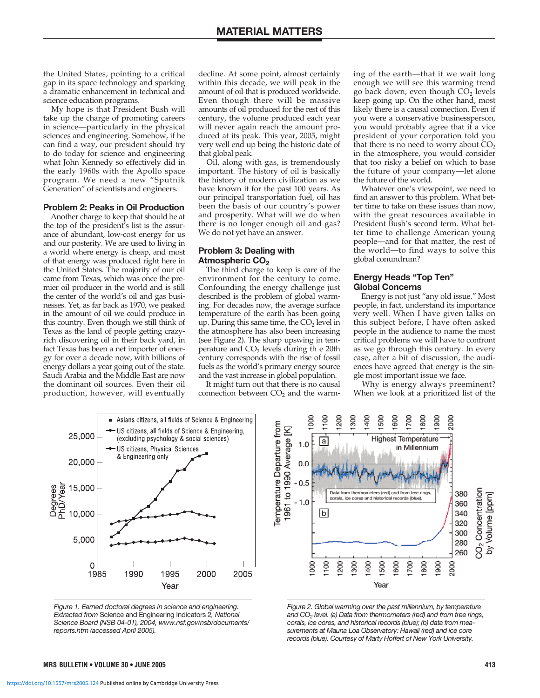the United States, pointing to a critical gap in its space technology and sparking a dramatic enhancement in technical and science education programs.

My hope is that President Bush will take up the charge of promoting careers in science—particularly in the physical sciences and engineering. Somehow, if he can find a way, our president should try to do today for science and engineering what John Kennedy so effectively did in the early 1960s with the Apollo space program. We need a new "Sputnik Generation" of scientists and engineers.

#### **Problem 2: Peaks in Oil Production**

Another charge to keep that should be at the top of the president's list is the assurance of abundant, low-cost energy for us and our posterity. We are used to living in a world where energy is cheap, and most of that energy was produced right here in the United States. The majority of our oil came from Texas, which was once the premier oil producer in the world and is still the center of the world's oil and gas businesses. Yet, as far back as 1970, we peaked in the amount of oil we could produce in this country. Even though we still think of Texas as the land of people getting crazyrich discovering oil in their back yard, in fact Texas has been a net importer of energy for over a decade now, with billions of energy dollars a year going out of the state. Saudi Arabia and the Middle East are now the dominant oil sources. Even their oil production, however, will eventually decline. At some point, almost certainly within this decade, we will peak in the amount of oil that is produced worldwide. Even though there will be massive amounts of oil produced for the rest of this century, the volume produced each year will never again reach the amount produced at its peak. This year, 2005, might very well end up being the historic date of that global peak.

Oil, along with gas, is tremendously important. The history of oil is basically the history of modern civilization as we have known it for the past 100 years. As our principal transportation fuel, oil has been the basis of our country's power and prosperity. What will we do when there is no longer enough oil and gas? We do not yet have an answer.

## **Problem 3: Dealing with** Atmospheric CO<sub>2</sub>

The third charge to keep is care of the environment for the century to come. Confounding the energy challenge just described is the problem of global warming. For decades now, the average surface temperature of the earth has been going up. During this same time, the  $CO<sub>2</sub>$  level in the atmosphere has also been increasing (see Figure 2). The sharp upswing in temperature and  $CO<sub>2</sub>$  levels during th e 20th century corresponds with the rise of fossil fuels as the world's primary energy source and the vast increase in global population.

It might turn out that there is no causal connection between  $CO<sub>2</sub>$  and the warm-

ing of the earth—that if we wait long enough we will see this warming trend go back down, even though  $CO<sub>2</sub>$  levels keep going up. On the other hand, most likely there is a causal connection. Even if you were a conservative businessperson, you would probably agree that if a vice president of your corporation told you that there is no need to worry about  $CO<sub>2</sub>$ in the atmosphere, you would consider that too risky a belief on which to base the future of your company—let alone the future of the world.

Whatever one's viewpoint, we need to find an answer to this problem. What better time to take on these issues than now, with the great resources available in President Bush's second term. What better time to challenge American young people—and for that matter, the rest of the world—to find ways to solve this global conundrum?

### **Energy Heads "Top Ten" Global Concerns**

Energy is not just "any old issue." Most people, in fact, understand its importance very well. When I have given talks on this subject before, I have often asked people in the audience to name the most critical problems we will have to confront as we go through this century. In every case, after a bit of discussion, the audiences have agreed that energy is the single most important issue we face.

Why is energy always preeminent? When we look at a prioritized list of the



Figure 1. Earned doctoral degrees in science and engineering. Extracted from Science and Engineering Indicators 2, National Science Board (NSB 04-01), 2004, www.nsf.gov/nsb/documents/ reports.htm (accessed April 2005).



Figure 2. Global warming over the past millennium, by temperature and  $CO<sub>2</sub>$  level. (a) Data from thermometers (red) and from tree rings, corals, ice cores, and historical records (blue); (b) data from measurements at Mauna Loa Observatory: Hawaii (red) and ice core records (blue). Courtesy of Marty Hoffert of New York University.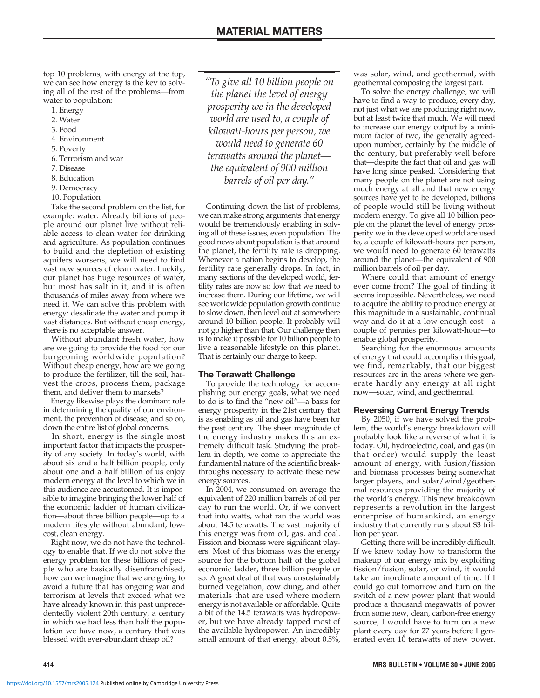top 10 problems, with energy at the top, we can see how energy is the key to solving all of the rest of the problems—from water to population:

- 1. Energy
- 2. Water
- 3. Food
- 4. Environment
- 5. Poverty
- 6. Terrorism and war
- 7. Disease
- 8. Education
- 9. Democracy
- 10. Population

Take the second problem on the list, for example: water. Already billions of people around our planet live without reliable access to clean water for drinking and agriculture. As population continues to build and the depletion of existing aquifers worsens, we will need to find vast new sources of clean water. Luckily, our planet has huge resources of water, but most has salt in it, and it is often thousands of miles away from where we need it. We can solve this problem with energy: desalinate the water and pump it vast distances. But without cheap energy, there is no acceptable answer.

Without abundant fresh water, how are we going to provide the food for our burgeoning worldwide population? Without cheap energy, how are we going to produce the fertilizer, till the soil, harvest the crops, process them, package them, and deliver them to markets?

Energy likewise plays the dominant role in determining the quality of our environment, the prevention of disease, and so on, down the entire list of global concerns.

In short, energy is the single most important factor that impacts the prosperity of any society. In today's world, with about six and a half billion people, only about one and a half billion of us enjoy modern energy at the level to which we in this audience are accustomed. It is impossible to imagine bringing the lower half of the economic ladder of human civilization—about three billion people—up to a modern lifestyle without abundant, lowcost, clean energy.

Right now, we do not have the technology to enable that. If we do not solve the energy problem for these billions of people who are basically disenfranchised, how can we imagine that we are going to avoid a future that has ongoing war and terrorism at levels that exceed what we have already known in this past unprecedentedly violent 20th century, a century in which we had less than half the population we have now, a century that was blessed with ever-abundant cheap oil?

*"To give all 10 billion people on the planet the level of energy prosperity we in the developed world are used to, a couple of kilowatt-hours per person, we would need to generate 60 terawatts around the planet the equivalent of 900 million barrels of oil per day."*

Continuing down the list of problems, we can make strong arguments that energy would be tremendously enabling in solving all of these issues, even population. The good news about population is that around the planet, the fertility rate is dropping. Whenever a nation begins to develop, the fertility rate generally drops. In fact, in many sections of the developed world, fertility rates are now so low that we need to increase them. During our lifetime, we will see worldwide population growth continue to slow down, then level out at somewhere around 10 billion people. It probably will not go higher than that. Our challenge then is to make it possible for 10 billion people to live a reasonable lifestyle on this planet. That is certainly our charge to keep.

#### **The Terawatt Challenge**

To provide the technology for accomplishing our energy goals, what we need to do is to find the "new oil"—a basis for energy prosperity in the 21st century that is as enabling as oil and gas have been for the past century. The sheer magnitude of the energy industry makes this an extremely difficult task. Studying the problem in depth, we come to appreciate the fundamental nature of the scientific breakthroughs necessary to activate these new energy sources.

In 2004, we consumed on average the equivalent of 220 million barrels of oil per day to run the world. Or, if we convert that into watts, what ran the world was about 14.5 terawatts. The vast majority of this energy was from oil, gas, and coal. Fission and biomass were significant players. Most of this biomass was the energy source for the bottom half of the global economic ladder, three billion people or so. A great deal of that was unsustainably burned vegetation, cow dung, and other materials that are used where modern energy is not available or affordable. Quite a bit of the 14.5 terawatts was hydropower, but we have already tapped most of the available hydropower. An incredibly small amount of that energy, about 0.5%,

was solar, wind, and geothermal, with geothermal composing the largest part.

To solve the energy challenge, we will have to find a way to produce, every day, not just what we are producing right now, but at least twice that much. We will need to increase our energy output by a minimum factor of two, the generally agreedupon number, certainly by the middle of the century, but preferably well before that—despite the fact that oil and gas will have long since peaked. Considering that many people on the planet are not using much energy at all and that new energy sources have yet to be developed, billions of people would still be living without modern energy. To give all 10 billion people on the planet the level of energy prosperity we in the developed world are used to, a couple of kilowatt-hours per person, we would need to generate 60 terawatts around the planet—the equivalent of 900 million barrels of oil per day.

Where could that amount of energy ever come from? The goal of finding it seems impossible. Nevertheless, we need to acquire the ability to produce energy at this magnitude in a sustainable, continual way and do it at a low-enough cost—a couple of pennies per kilowatt-hour—to enable global prosperity.

Searching for the enormous amounts of energy that could accomplish this goal, we find, remarkably, that our biggest resources are in the areas where we generate hardly any energy at all right now—solar, wind, and geothermal.

#### **Reversing Current Energy Trends**

By 2050, if we have solved the problem, the world's energy breakdown will probably look like a reverse of what it is today. Oil, hydroelectric, coal, and gas (in that order) would supply the least amount of energy, with fusion/fission and biomass processes being somewhat larger players, and solar/wind/geothermal resources providing the majority of the world's energy. This new breakdown represents a revolution in the largest enterprise of humankind, an energy industry that currently runs about \$3 trillion per year.

Getting there will be incredibly difficult. If we knew today how to transform the makeup of our energy mix by exploiting fission/fusion, solar, or wind, it would take an inordinate amount of time. If I could go out tomorrow and turn on the switch of a new power plant that would produce a thousand megawatts of power from some new, clean, carbon-free energy source, I would have to turn on a new plant every day for 27 years before I generated even 10 terawatts of new power.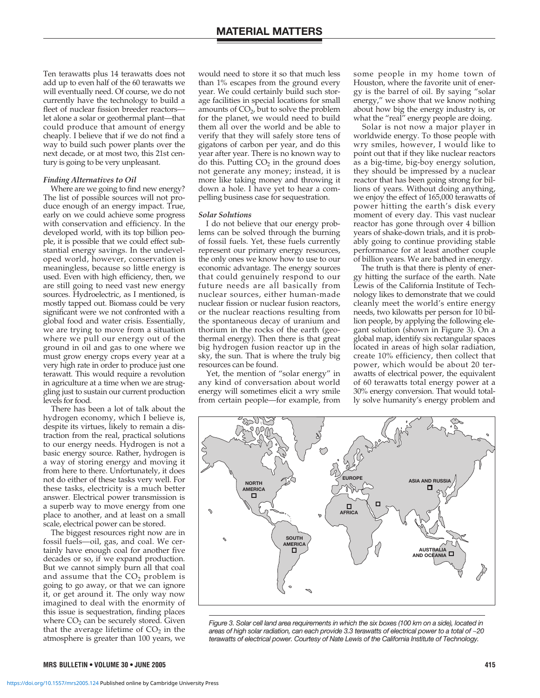Ten terawatts plus 14 terawatts does not add up to even half of the 60 terawatts we will eventually need. Of course, we do not currently have the technology to build a fleet of nuclear fission breeder reactors let alone a solar or geothermal plant—that could produce that amount of energy cheaply. I believe that if we do not find a way to build such power plants over the next decade, or at most two, this 21st century is going to be very unpleasant.

#### *Finding Alternatives to Oil*

Where are we going to find new energy? The list of possible sources will not produce enough of an energy impact. True, early on we could achieve some progress with conservation and efficiency. In the developed world, with its top billion people, it is possible that we could effect substantial energy savings. In the undeveloped world, however, conservation is meaningless, because so little energy is used. Even with high efficiency, then, we are still going to need vast new energy sources. Hydroelectric, as I mentioned, is mostly tapped out. Biomass could be very significant were we not confronted with a global food and water crisis. Essentially, we are trying to move from a situation where we pull our energy out of the ground in oil and gas to one where we must grow energy crops every year at a very high rate in order to produce just one terawatt. This would require a revolution in agriculture at a time when we are struggling just to sustain our current production levels for food.

There has been a lot of talk about the hydrogen economy, which I believe is, despite its virtues, likely to remain a distraction from the real, practical solutions to our energy needs. Hydrogen is not a basic energy source. Rather, hydrogen is a way of storing energy and moving it from here to there. Unfortunately, it does not do either of these tasks very well. For these tasks, electricity is a much better answer. Electrical power transmission is a superb way to move energy from one place to another, and at least on a small scale, electrical power can be stored.

The biggest resources right now are in fossil fuels—oil, gas, and coal. We certainly have enough coal for another five decades or so, if we expand production. But we cannot simply burn all that coal and assume that the  $CO<sub>2</sub>$  problem is going to go away, or that we can ignore it, or get around it. The only way now imagined to deal with the enormity of this issue is sequestration, finding places where  $CO<sub>2</sub>$  can be securely stored. Given that the average lifetime of  $CO<sub>2</sub>$  in the atmosphere is greater than 100 years, we

would need to store it so that much less than 1% escapes from the ground every year. We could certainly build such storage facilities in special locations for small amounts of  $CO<sub>2</sub>$ , but to solve the problem for the planet, we would need to build them all over the world and be able to verify that they will safely store tens of gigatons of carbon per year, and do this year after year. There is no known way to do this. Putting  $CO<sub>2</sub>$  in the ground does not generate any money; instead, it is more like taking money and throwing it down a hole. I have yet to hear a compelling business case for sequestration.

#### *Solar Solutions*

I do not believe that our energy problems can be solved through the burning of fossil fuels. Yet, these fuels currently represent our primary energy resources, the only ones we know how to use to our economic advantage. The energy sources that could genuinely respond to our future needs are all basically from nuclear sources, either human-made nuclear fission or nuclear fusion reactors, or the nuclear reactions resulting from the spontaneous decay of uranium and thorium in the rocks of the earth (geothermal energy). Then there is that great big hydrogen fusion reactor up in the sky, the sun. That is where the truly big resources can be found.

Yet, the mention of "solar energy" in any kind of conversation about world energy will sometimes elicit a wry smile from certain people—for example, from

some people in my home town of Houston, where the favorite unit of energy is the barrel of oil. By saying "solar energy," we show that we know nothing about how big the energy industry is, or what the "real" energy people are doing.

Solar is not now a major player in worldwide energy. To those people with wry smiles, however, I would like to point out that if they like nuclear reactors as a big-time, big-boy energy solution, they should be impressed by a nuclear reactor that has been going strong for billions of years. Without doing anything, we enjoy the effect of 165,000 terawatts of power hitting the earth's disk every moment of every day. This vast nuclear reactor has gone through over 4 billion years of shake-down trials, and it is probably going to continue providing stable performance for at least another couple of billion years. We are bathed in energy.

The truth is that there is plenty of energy hitting the surface of the earth. Nate Lewis of the California Institute of Technology likes to demonstrate that we could cleanly meet the world's entire energy needs, two kilowatts per person for 10 billion people, by applying the following elegant solution (shown in Figure 3). On a global map, identify six rectangular spaces located in areas of high solar radiation, create 10% efficiency, then collect that power, which would be about 20 terawatts of electrical power, the equivalent of 60 terawatts total energy power at a 30% energy conversion. That would totally solve humanity's energy problem and



Figure 3. Solar cell land area requirements in which the six boxes (100 km on a side), located in areas of high solar radiation, can each provide 3.3 terawatts of electrical power to a total of ~20 terawatts of electrical power. Courtesy of Nate Lewis of the California Institute of Technology.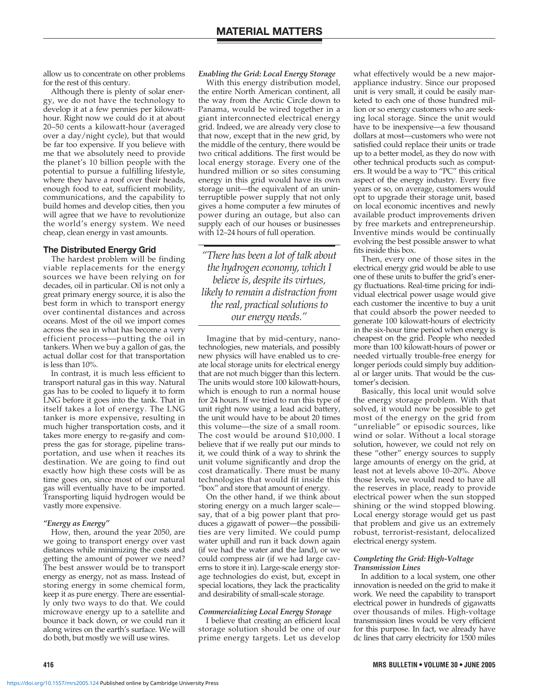allow us to concentrate on other problems for the rest of this century.

Although there is plenty of solar energy, we do not have the technology to develop it at a few pennies per kilowatthour. Right now we could do it at about 20–50 cents a kilowatt-hour (averaged over a day/night cycle), but that would be far too expensive. If you believe with me that we absolutely need to provide the planet's 10 billion people with the potential to pursue a fulfilling lifestyle, where they have a roof over their heads, enough food to eat, sufficient mobility, communications, and the capability to build homes and develop cities, then you will agree that we have to revolutionize the world's energy system. We need cheap, clean energy in vast amounts.

# **The Distributed Energy Grid**

The hardest problem will be finding viable replacements for the energy sources we have been relying on for decades, oil in particular. Oil is not only a great primary energy source, it is also the best form in which to transport energy over continental distances and across oceans. Most of the oil we import comes across the sea in what has become a very efficient process—putting the oil in tankers. When we buy a gallon of gas, the actual dollar cost for that transportation is less than 10%.

In contrast, it is much less efficient to transport natural gas in this way. Natural gas has to be cooled to liquefy it to form LNG before it goes into the tank. That in itself takes a lot of energy. The LNG tanker is more expensive, resulting in much higher transportation costs, and it takes more energy to re-gasify and compress the gas for storage, pipeline transportation, and use when it reaches its destination. We are going to find out exactly how high these costs will be as time goes on, since most of our natural gas will eventually have to be imported. Transporting liquid hydrogen would be vastly more expensive.

#### *"Energy as Energy"*

How, then, around the year 2050, are we going to transport energy over vast distances while minimizing the costs and getting the amount of power we need? The best answer would be to transport energy as energy, not as mass. Instead of storing energy in some chemical form, keep it as pure energy. There are essentially only two ways to do that. We could microwave energy up to a satellite and bounce it back down, or we could run it along wires on the earth's surface. We will do both, but mostly we will use wires.

*Enabling the Grid: Local Energy Storage*

With this energy distribution model, the entire North American continent, all the way from the Arctic Circle down to Panama, would be wired together in a giant interconnected electrical energy grid. Indeed, we are already very close to that now, except that in the new grid, by the middle of the century, there would be two critical additions. The first would be local energy storage. Every one of the hundred million or so sites consuming energy in this grid would have its own storage unit—the equivalent of an uninterruptible power supply that not only gives a home computer a few minutes of power during an outage, but also can supply each of our houses or businesses with 12–24 hours of full operation.

*"There has been a lot of talk about the hydrogen economy, which I believe is, despite its virtues, likely to remain a distraction from the real, practical solutions to our energy needs."*

Imagine that by mid-century, nanotechnologies, new materials, and possibly new physics will have enabled us to create local storage units for electrical energy that are not much bigger than this lectern. The units would store 100 kilowatt-hours, which is enough to run a normal house for 24 hours. If we tried to run this type of unit right now using a lead acid battery, the unit would have to be about 20 times this volume—the size of a small room. The cost would be around \$10,000. I believe that if we really put our minds to it, we could think of a way to shrink the unit volume significantly and drop the cost dramatically. There must be many technologies that would fit inside this "box" and store that amount of energy.

On the other hand, if we think about storing energy on a much larger scale say, that of a big power plant that produces a gigawatt of power—the possibilities are very limited. We could pump water uphill and run it back down again (if we had the water and the land), or we could compress air (if we had large caverns to store it in). Large-scale energy storage technologies do exist, but, except in special locations, they lack the practicality and desirability of small-scale storage.

#### *Commercializing Local Energy Storage*

I believe that creating an efficient local storage solution should be one of our prime energy targets. Let us develop

what effectively would be a new majorappliance industry. Since our proposed unit is very small, it could be easily marketed to each one of those hundred million or so energy customers who are seeking local storage. Since the unit would have to be inexpensive—a few thousand dollars at most—customers who were not satisfied could replace their units or trade up to a better model, as they do now with other technical products such as computers. It would be a way to "PC" this critical aspect of the energy industry. Every five years or so, on average, customers would opt to upgrade their storage unit, based on local economic incentives and newly available product improvements driven by free markets and entrepreneurship. Inventive minds would be continually evolving the best possible answer to what fits inside this box.

Then, every one of those sites in the electrical energy grid would be able to use one of these units to buffer the grid's energy fluctuations. Real-time pricing for individual electrical power usage would give each customer the incentive to buy a unit that could absorb the power needed to generate 100 kilowatt-hours of electricity in the six-hour time period when energy is cheapest on the grid. People who needed more than 100 kilowatt-hours of power or needed virtually trouble-free energy for longer periods could simply buy additional or larger units. That would be the customer's decision.

Basically, this local unit would solve the energy storage problem. With that solved, it would now be possible to get most of the energy on the grid from "unreliable" or episodic sources, like wind or solar. Without a local storage solution, however, we could not rely on these "other" energy sources to supply large amounts of energy on the grid, at least not at levels above 10–20%. Above those levels, we would need to have all the reserves in place, ready to provide electrical power when the sun stopped shining or the wind stopped blowing. Local energy storage would get us past that problem and give us an extremely robust, terrorist-resistant, delocalized electrical energy system.

# *Completing the Grid: High-Voltage Transmission Lines*

In addition to a local system, one other innovation is needed on the grid to make it work. We need the capability to transport electrical power in hundreds of gigawatts over thousands of miles. High-voltage transmission lines would be very efficient for this purpose. In fact, we already have dc lines that carry electricity for 1500 miles